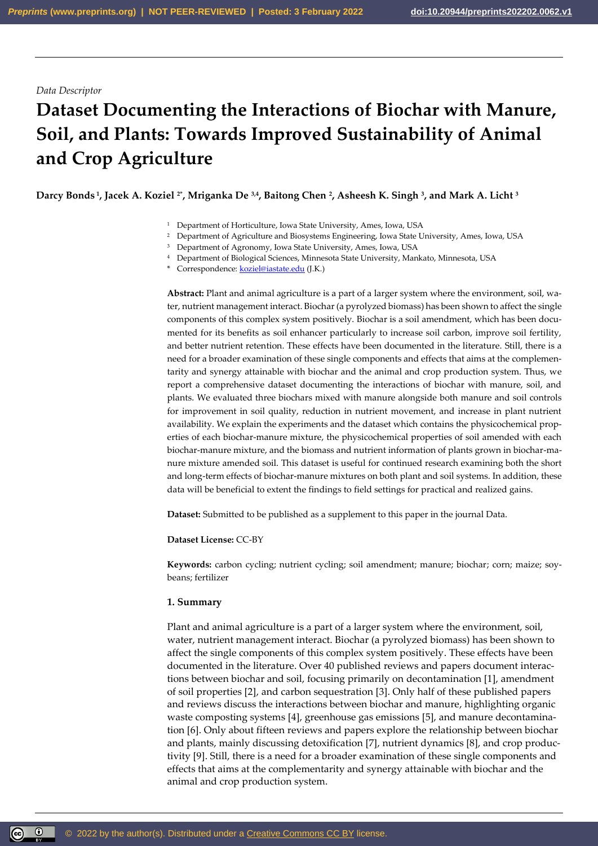## *Data Descriptor*

# **Dataset Documenting the Interactions of Biochar with Manure, Soil, and Plants: Towards Improved Sustainability of Animal and Crop Agriculture**

**Darcy Bonds <sup>1</sup> , Jacek A. Koziel 2\* , Mriganka De 3,4, Baitong Chen <sup>2</sup> , Asheesh K. Singh <sup>3</sup> , and Mark A. Licht <sup>3</sup>**

- <sup>1</sup> Department of Horticulture, Iowa State University, Ames, Iowa, USA
- <sup>2</sup> Department of Agriculture and Biosystems Engineering, Iowa State University, Ames, Iowa, USA
- <sup>3</sup> Department of Agronomy, Iowa State University, Ames, Iowa, USA
- <sup>4</sup> Department of Biological Sciences, Minnesota State University, Mankato, Minnesota, USA
- \* Correspondence: **[koziel@iastate.edu](mailto:koziel@iastate.edu)** (J.K.)

**Abstract:** Plant and animal agriculture is a part of a larger system where the environment, soil, water, nutrient management interact. Biochar (a pyrolyzed biomass) has been shown to affect the single components of this complex system positively. Biochar is a soil amendment, which has been documented for its benefits as soil enhancer particularly to increase soil carbon, improve soil fertility, and better nutrient retention. These effects have been documented in the literature. Still, there is a need for a broader examination of these single components and effects that aims at the complementarity and synergy attainable with biochar and the animal and crop production system. Thus, we report a comprehensive dataset documenting the interactions of biochar with manure, soil, and plants. We evaluated three biochars mixed with manure alongside both manure and soil controls for improvement in soil quality, reduction in nutrient movement, and increase in plant nutrient availability. We explain the experiments and the dataset which contains the physicochemical properties of each biochar-manure mixture, the physicochemical properties of soil amended with each biochar-manure mixture, and the biomass and nutrient information of plants grown in biochar-manure mixture amended soil. This dataset is useful for continued research examining both the short and long-term effects of biochar-manure mixtures on both plant and soil systems. In addition, these data will be beneficial to extent the findings to field settings for practical and realized gains.

**Dataset:** Submitted to be published as a supplement to this paper in the journal Data.

**Dataset License:** CC-BY

**Keywords:** carbon cycling; nutrient cycling; soil amendment; manure; biochar; corn; maize; soybeans; fertilizer

#### **1. Summary**

Plant and animal agriculture is a part of a larger system where the environment, soil, water, nutrient management interact. Biochar (a pyrolyzed biomass) has been shown to affect the single components of this complex system positively. These effects have been documented in the literature. Over 40 published reviews and papers document interactions between biochar and soil, focusing primarily on decontamination [1], amendment of soil properties [2], and carbon sequestration [3]. Only half of these published papers and reviews discuss the interactions between biochar and manure, highlighting organic waste composting systems [4], greenhouse gas emissions [5], and manure decontamination [6]. Only about fifteen reviews and papers explore the relationship between biochar and plants, mainly discussing detoxification [7], nutrient dynamics [8], and crop productivity [9]. Still, there is a need for a broader examination of these single components and effects that aims at the complementarity and synergy attainable with biochar and the animal and crop production system.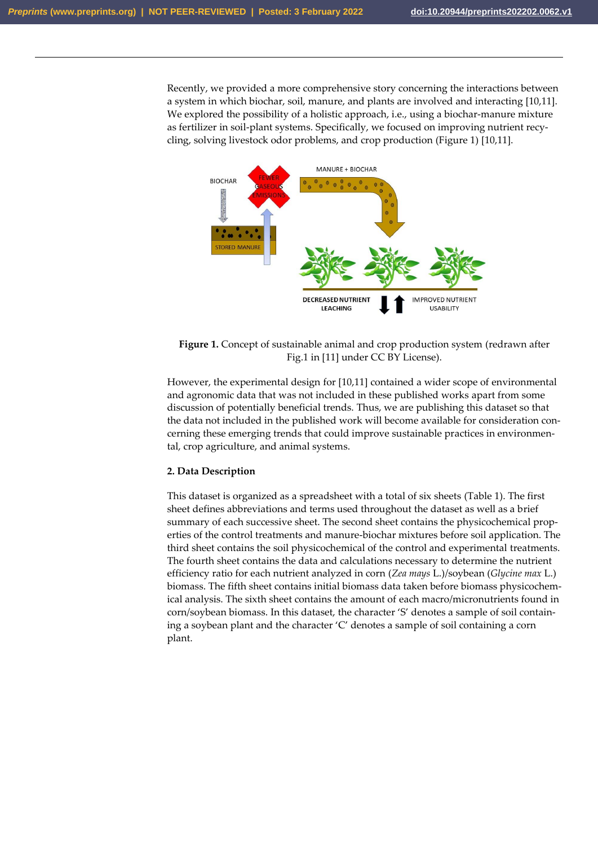Recently, we provided a more comprehensive story concerning the interactions between a system in which biochar, soil, manure, and plants are involved and interacting [10,11]. We explored the possibility of a holistic approach, i.e., using a biochar-manure mixture as fertilizer in soil-plant systems. Specifically, we focused on improving nutrient recycling, solving livestock odor problems, and crop production (Figure 1) [10,11].



**Figure 1.** Concept of sustainable animal and crop production system (redrawn after Fig.1 in [11] under CC BY License).

However, the experimental design for [10,11] contained a wider scope of environmental and agronomic data that was not included in these published works apart from some discussion of potentially beneficial trends. Thus, we are publishing this dataset so that the data not included in the published work will become available for consideration concerning these emerging trends that could improve sustainable practices in environmental, crop agriculture, and animal systems.

## **2. Data Description**

This dataset is organized as a spreadsheet with a total of six sheets (Table 1). The first sheet defines abbreviations and terms used throughout the dataset as well as a brief summary of each successive sheet. The second sheet contains the physicochemical properties of the control treatments and manure-biochar mixtures before soil application. The third sheet contains the soil physicochemical of the control and experimental treatments. The fourth sheet contains the data and calculations necessary to determine the nutrient efficiency ratio for each nutrient analyzed in corn (*Zea mays* L.)/soybean (*Glycine max* L.) biomass. The fifth sheet contains initial biomass data taken before biomass physicochemical analysis. The sixth sheet contains the amount of each macro/micronutrients found in corn/soybean biomass. In this dataset, the character 'S' denotes a sample of soil containing a soybean plant and the character 'C' denotes a sample of soil containing a corn plant.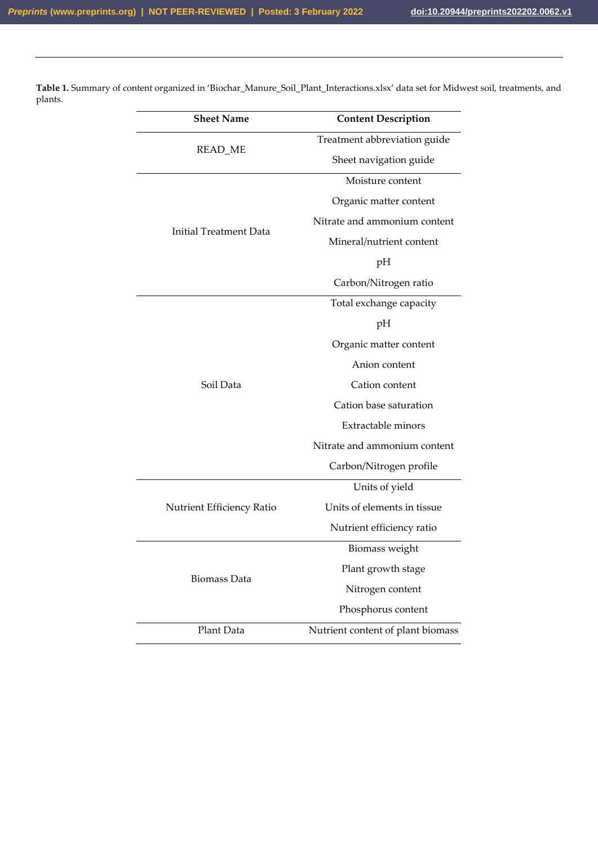| <b>Sheet Name</b>             | <b>Content Description</b>        |  |  |
|-------------------------------|-----------------------------------|--|--|
|                               | Treatment abbreviation guide      |  |  |
| READ_ME                       | Sheet navigation guide            |  |  |
|                               | Moisture content                  |  |  |
|                               | Organic matter content            |  |  |
|                               | Nitrate and ammonium content      |  |  |
| <b>Initial Treatment Data</b> | Mineral/nutrient content          |  |  |
|                               | pН                                |  |  |
|                               | Carbon/Nitrogen ratio             |  |  |
|                               | Total exchange capacity           |  |  |
| Soil Data                     | pH                                |  |  |
|                               | Organic matter content            |  |  |
|                               | Anion content                     |  |  |
|                               | Cation content                    |  |  |
|                               | Cation base saturation            |  |  |
|                               | Extractable minors                |  |  |
|                               | Nitrate and ammonium content      |  |  |
|                               | Carbon/Nitrogen profile           |  |  |
|                               | Units of yield                    |  |  |
| Nutrient Efficiency Ratio     | Units of elements in tissue       |  |  |
|                               | Nutrient efficiency ratio         |  |  |
|                               | Biomass weight                    |  |  |
|                               | Plant growth stage                |  |  |
| <b>Biomass Data</b>           | Nitrogen content                  |  |  |
|                               | Phosphorus content                |  |  |
| Plant Data                    | Nutrient content of plant biomass |  |  |

**Table 1.** Summary of content organized in 'Biochar\_Manure\_Soil\_Plant\_Interactions.xlsx' data set for Midwest soil, treatments, and plants.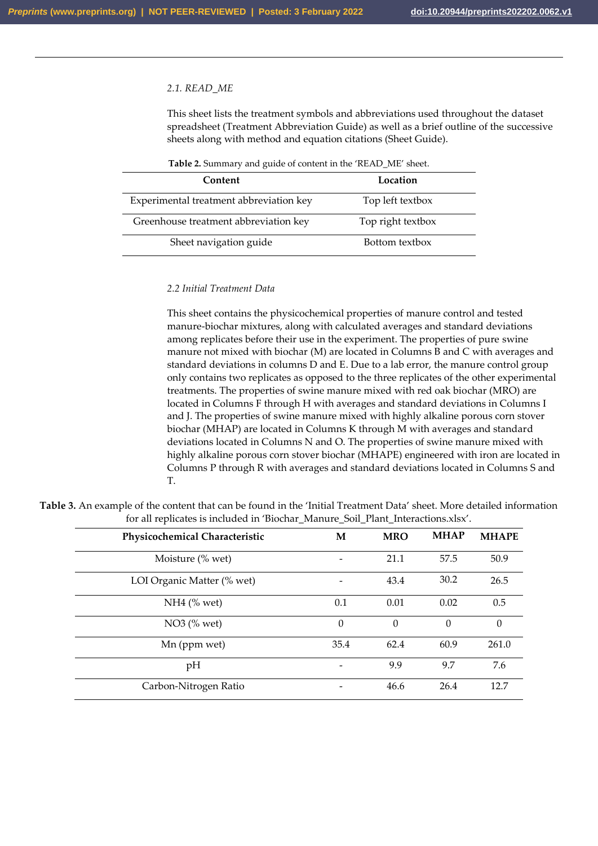#### *2.1. READ\_ME*

This sheet lists the treatment symbols and abbreviations used throughout the dataset spreadsheet (Treatment Abbreviation Guide) as well as a brief outline of the successive sheets along with method and equation citations (Sheet Guide).

| Table 2. Summary and guide of content in the 'READ_ME' sheet. |
|---------------------------------------------------------------|
|---------------------------------------------------------------|

| Content                                 | Location          |
|-----------------------------------------|-------------------|
| Experimental treatment abbreviation key | Top left textbox  |
| Greenhouse treatment abbreviation key   | Top right textbox |
| Sheet navigation guide                  | Bottom textbox    |

#### *2.2 Initial Treatment Data*

This sheet contains the physicochemical properties of manure control and tested manure-biochar mixtures, along with calculated averages and standard deviations among replicates before their use in the experiment. The properties of pure swine manure not mixed with biochar (M) are located in Columns B and C with averages and standard deviations in columns D and E. Due to a lab error, the manure control group only contains two replicates as opposed to the three replicates of the other experimental treatments. The properties of swine manure mixed with red oak biochar (MRO) are located in Columns F through H with averages and standard deviations in Columns I and J. The properties of swine manure mixed with highly alkaline porous corn stover biochar (MHAP) are located in Columns K through M with averages and standard deviations located in Columns N and O. The properties of swine manure mixed with highly alkaline porous corn stover biochar (MHAPE) engineered with iron are located in Columns P through R with averages and standard deviations located in Columns S and T.

| Physicochemical Characteristic | М                        | <b>MRO</b>       | <b>MHAP</b> | <b>MHAPE</b> |
|--------------------------------|--------------------------|------------------|-------------|--------------|
| Moisture (% wet)               | $\overline{\phantom{a}}$ | 21.1             | 57.5        | 50.9         |
| LOI Organic Matter (% wet)     |                          | 43.4             | 30.2        | 26.5         |
| $NH4$ (% wet)                  | 0.1                      | 0.01             | 0.02        | 0.5          |
| $NO3$ (% wet)                  | $\theta$                 | $\boldsymbol{0}$ | $\Omega$    | $\Omega$     |
| Mn (ppm wet)                   | 35.4                     | 62.4             | 60.9        | 261.0        |
| pH                             |                          | 9.9              | 9.7         | 7.6          |
| Carbon-Nitrogen Ratio          |                          | 46.6             | 26.4        | 12.7         |

**Table 3.** An example of the content that can be found in the 'Initial Treatment Data' sheet. More detailed information for all replicates is included in 'Biochar\_Manure\_Soil\_Plant\_Interactions.xlsx'.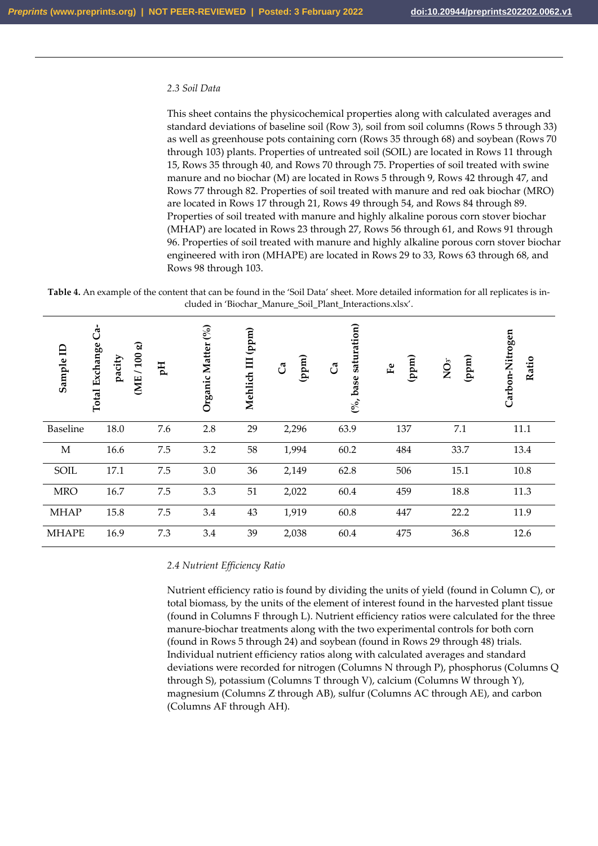#### *2.3 Soil Data*

This sheet contains the physicochemical properties along with calculated averages and standard deviations of baseline soil (Row 3), soil from soil columns (Rows 5 through 33) as well as greenhouse pots containing corn (Rows 35 through 68) and soybean (Rows 70 through 103) plants. Properties of untreated soil (SOIL) are located in Rows 11 through 15, Rows 35 through 40, and Rows 70 through 75. Properties of soil treated with swine manure and no biochar (M) are located in Rows 5 through 9, Rows 42 through 47, and Rows 77 through 82. Properties of soil treated with manure and red oak biochar (MRO) are located in Rows 17 through 21, Rows 49 through 54, and Rows 84 through 89. Properties of soil treated with manure and highly alkaline porous corn stover biochar (MHAP) are located in Rows 23 through 27, Rows 56 through 61, and Rows 91 through 96. Properties of soil treated with manure and highly alkaline porous corn stover biochar engineered with iron (MHAPE) are located in Rows 29 to 33, Rows 63 through 68, and Rows 98 through 103.

**Table 4.** An example of the content that can be found in the 'Soil Data' sheet. More detailed information for all replicates is included in 'Biochar\_Manure\_Soil\_Plant\_Interactions.xlsx'.

| Sample ID    | မ<br>U<br>Total Exchange<br>pacity | (ME/100 g) | Fф  | (%)<br>Organic Matter | (ppm)<br>Mehlich III | (mdd)<br>් | saturation)<br>්<br>base<br>$\mathfrak{S}_{\bullet}$ | (ppm)<br>$\mathbf{F}$ | (ppm)<br>$\mathop{\rm NO}\nolimits$ | Carbon-Nitrogen<br>Ratio |
|--------------|------------------------------------|------------|-----|-----------------------|----------------------|------------|------------------------------------------------------|-----------------------|-------------------------------------|--------------------------|
| Baseline     | 18.0                               |            | 7.6 | 2.8                   | 29                   | 2,296      | 63.9                                                 | 137                   | 7.1                                 | 11.1                     |
| $\mathbf{M}$ | 16.6                               |            | 7.5 | 3.2                   | 58                   | 1,994      | 60.2                                                 | 484                   | 33.7                                | 13.4                     |
| SOIL         | 17.1                               |            | 7.5 | 3.0                   | 36                   | 2,149      | 62.8                                                 | 506                   | 15.1                                | 10.8                     |
| <b>MRO</b>   | 16.7                               |            | 7.5 | 3.3                   | 51                   | 2,022      | 60.4                                                 | 459                   | 18.8                                | 11.3                     |
| <b>MHAP</b>  | 15.8                               |            | 7.5 | 3.4                   | 43                   | 1,919      | 60.8                                                 | 447                   | 22.2                                | 11.9                     |
| <b>MHAPE</b> | 16.9                               |            | 7.3 | 3.4                   | 39                   | 2,038      | 60.4                                                 | 475                   | 36.8                                | 12.6                     |

## *2.4 Nutrient Efficiency Ratio*

Nutrient efficiency ratio is found by dividing the units of yield (found in Column C), or total biomass, by the units of the element of interest found in the harvested plant tissue (found in Columns F through L). Nutrient efficiency ratios were calculated for the three manure-biochar treatments along with the two experimental controls for both corn (found in Rows 5 through 24) and soybean (found in Rows 29 through 48) trials. Individual nutrient efficiency ratios along with calculated averages and standard deviations were recorded for nitrogen (Columns N through P), phosphorus (Columns Q through S), potassium (Columns T through V), calcium (Columns W through Y), magnesium (Columns Z through AB), sulfur (Columns AC through AE), and carbon (Columns AF through AH).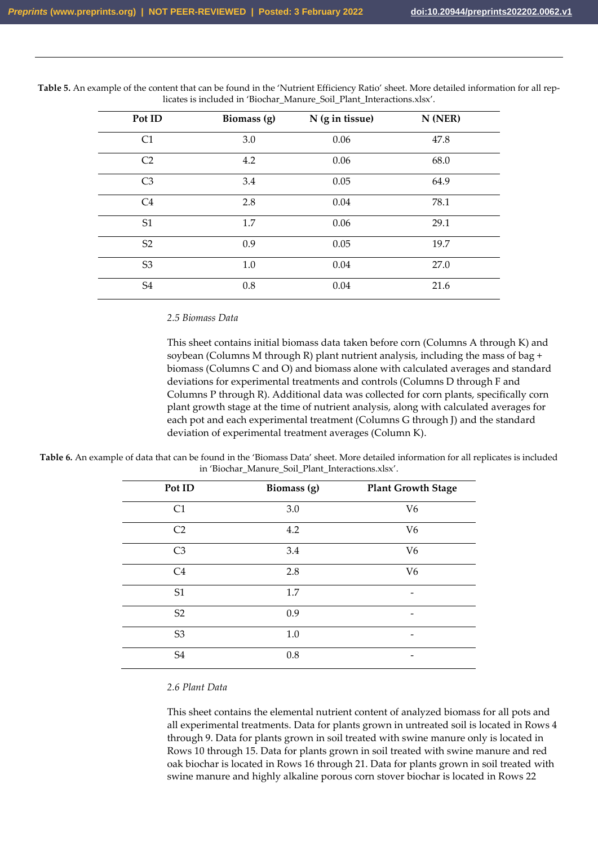| Pot ID         | Biomass (g) | N (g in tissue) | $N$ (NER) |  |
|----------------|-------------|-----------------|-----------|--|
| C1             | 3.0         | 0.06            | 47.8      |  |
| C <sub>2</sub> | 4.2         | 0.06            | 68.0      |  |
| C <sub>3</sub> | 3.4         | 0.05            | 64.9      |  |
| C <sub>4</sub> | 2.8         | 0.04            | 78.1      |  |
| S <sub>1</sub> | 1.7         | 0.06            | 29.1      |  |
| S <sub>2</sub> | 0.9         | 0.05            | 19.7      |  |
| S <sub>3</sub> | 1.0         | 0.04            | 27.0      |  |
| S <sub>4</sub> | 0.8         | 0.04            | 21.6      |  |

**Table 5.** An example of the content that can be found in the 'Nutrient Efficiency Ratio' sheet. More detailed information for all replicates is included in 'Biochar\_Manure\_Soil\_Plant\_Interactions.xlsx'.

#### *2.5 Biomass Data*

This sheet contains initial biomass data taken before corn (Columns A through K) and soybean (Columns M through R) plant nutrient analysis, including the mass of bag + biomass (Columns C and O) and biomass alone with calculated averages and standard deviations for experimental treatments and controls (Columns D through F and Columns P through R). Additional data was collected for corn plants, specifically corn plant growth stage at the time of nutrient analysis, along with calculated averages for each pot and each experimental treatment (Columns G through J) and the standard deviation of experimental treatment averages (Column K).

**Table 6.** An example of data that can be found in the 'Biomass Data' sheet. More detailed information for all replicates is included in 'Biochar\_Manure\_Soil\_Plant\_Interactions.xlsx'.

| Pot ID         | Biomass (g) | <b>Plant Growth Stage</b> |
|----------------|-------------|---------------------------|
| C1             | 3.0         | V <sub>6</sub>            |
| C <sub>2</sub> | 4.2         | V <sub>6</sub>            |
| C <sub>3</sub> | 3.4         | V <sub>6</sub>            |
| C <sub>4</sub> | 2.8         | V <sub>6</sub>            |
| S1             | 1.7         | -                         |
| S <sub>2</sub> | 0.9         | -                         |
| S <sub>3</sub> | $1.0\,$     | -                         |
| S <sub>4</sub> | 0.8         | -                         |

### *2.6 Plant Data*

This sheet contains the elemental nutrient content of analyzed biomass for all pots and all experimental treatments. Data for plants grown in untreated soil is located in Rows 4 through 9. Data for plants grown in soil treated with swine manure only is located in Rows 10 through 15. Data for plants grown in soil treated with swine manure and red oak biochar is located in Rows 16 through 21. Data for plants grown in soil treated with swine manure and highly alkaline porous corn stover biochar is located in Rows 22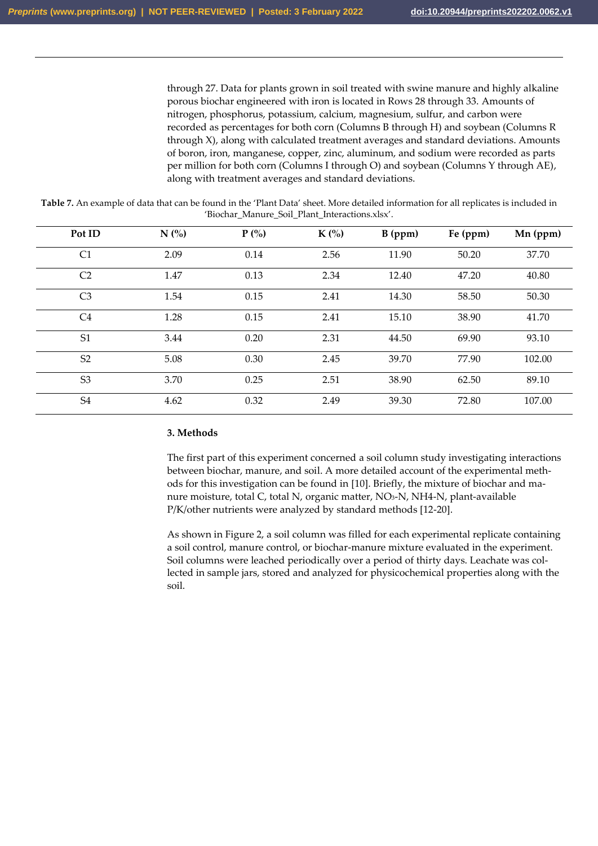through 27. Data for plants grown in soil treated with swine manure and highly alkaline porous biochar engineered with iron is located in Rows 28 through 33. Amounts of nitrogen, phosphorus, potassium, calcium, magnesium, sulfur, and carbon were recorded as percentages for both corn (Columns B through H) and soybean (Columns R through X), along with calculated treatment averages and standard deviations. Amounts of boron, iron, manganese, copper, zinc, aluminum, and sodium were recorded as parts per million for both corn (Columns I through O) and soybean (Columns Y through AE), along with treatment averages and standard deviations.

**Table 7.** An example of data that can be found in the 'Plant Data' sheet. More detailed information for all replicates is included in 'Biochar\_Manure\_Soil\_Plant\_Interactions.xlsx'.

| Pot ID         | N(%  | $P(\% )$ | $K(\%)$ | $B$ (ppm) | Fe (ppm) | $Mn$ (ppm) |
|----------------|------|----------|---------|-----------|----------|------------|
| C1             | 2.09 | 0.14     | 2.56    | 11.90     | 50.20    | 37.70      |
| C <sub>2</sub> | 1.47 | 0.13     | 2.34    | 12.40     | 47.20    | 40.80      |
| C <sub>3</sub> | 1.54 | 0.15     | 2.41    | 14.30     | 58.50    | 50.30      |
| C <sub>4</sub> | 1.28 | 0.15     | 2.41    | 15.10     | 38.90    | 41.70      |
| S <sub>1</sub> | 3.44 | 0.20     | 2.31    | 44.50     | 69.90    | 93.10      |
| S <sub>2</sub> | 5.08 | 0.30     | 2.45    | 39.70     | 77.90    | 102.00     |
| S <sub>3</sub> | 3.70 | 0.25     | 2.51    | 38.90     | 62.50    | 89.10      |
| S <sub>4</sub> | 4.62 | 0.32     | 2.49    | 39.30     | 72.80    | 107.00     |

## **3. Methods**

The first part of this experiment concerned a soil column study investigating interactions between biochar, manure, and soil. A more detailed account of the experimental methods for this investigation can be found in [10]. Briefly, the mixture of biochar and manure moisture, total C, total N, organic matter, NO<sub>3</sub>-N, NH4-N, plant-available P/K/other nutrients were analyzed by standard methods [12-20].

As shown in Figure 2, a soil column was filled for each experimental replicate containing a soil control, manure control, or biochar-manure mixture evaluated in the experiment. Soil columns were leached periodically over a period of thirty days. Leachate was collected in sample jars, stored and analyzed for physicochemical properties along with the soil.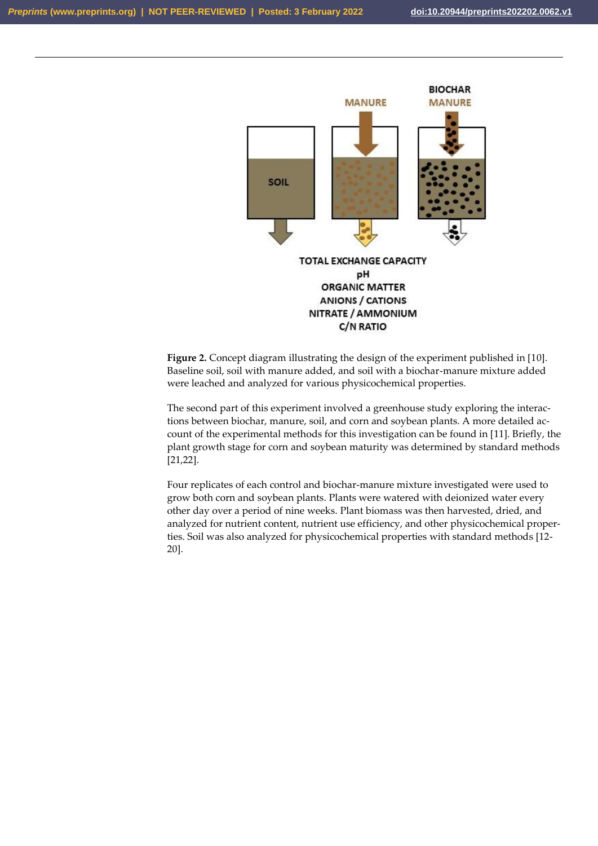

**Figure 2.** Concept diagram illustrating the design of the experiment published in [10]. Baseline soil, soil with manure added, and soil with a biochar-manure mixture added were leached and analyzed for various physicochemical properties.

The second part of this experiment involved a greenhouse study exploring the interactions between biochar, manure, soil, and corn and soybean plants. A more detailed account of the experimental methods for this investigation can be found in [11]. Briefly, the plant growth stage for corn and soybean maturity was determined by standard methods [21,22].

Four replicates of each control and biochar-manure mixture investigated were used to grow both corn and soybean plants. Plants were watered with deionized water every other day over a period of nine weeks. Plant biomass was then harvested, dried, and analyzed for nutrient content, nutrient use efficiency, and other physicochemical properties. Soil was also analyzed for physicochemical properties with standard methods [12- 20].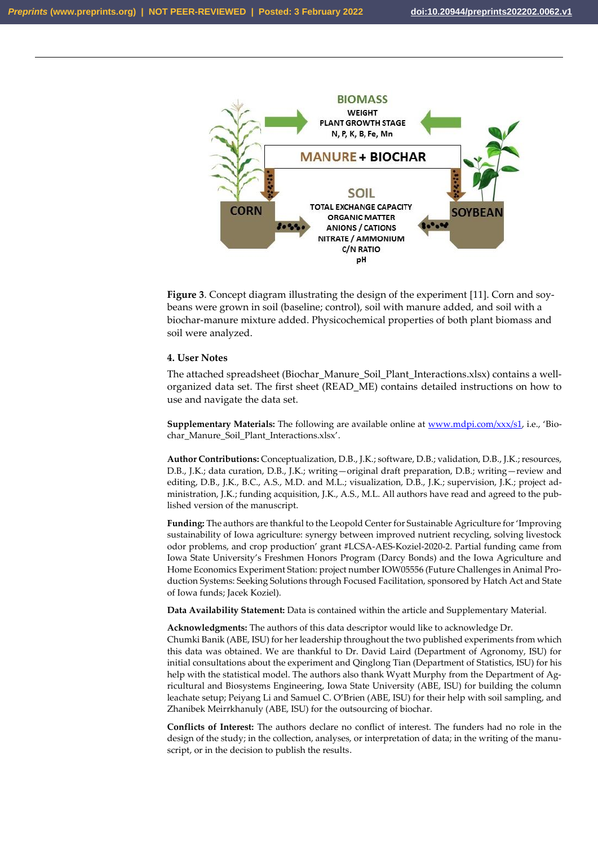

**Figure 3**. Concept diagram illustrating the design of the experiment [11]. Corn and soybeans were grown in soil (baseline; control), soil with manure added, and soil with a biochar-manure mixture added. Physicochemical properties of both plant biomass and soil were analyzed.

#### **4. User Notes**

The attached spreadsheet (Biochar\_Manure\_Soil\_Plant\_Interactions.xlsx) contains a wellorganized data set. The first sheet (READ\_ME) contains detailed instructions on how to use and navigate the data set.

**Supplementary Materials:** The following are available online at [www.mdpi.com/xxx/s1](http://www.mdpi.com/xxx/s1), i.e., 'Biochar\_Manure\_Soil\_Plant\_Interactions.xlsx'.

**Author Contributions:** Conceptualization, D.B., J.K.; software, D.B.; validation, D.B., J.K.; resources, D.B., J.K.; data curation, D.B., J.K.; writing—original draft preparation, D.B.; writing—review and editing, D.B., J.K., B.C., A.S., M.D. and M.L.; visualization, D.B., J.K.; supervision, J.K.; project administration, J.K.; funding acquisition, J.K., A.S., M.L. All authors have read and agreed to the published version of the manuscript.

**Funding:** The authors are thankful to the Leopold Center for Sustainable Agriculture for 'Improving sustainability of Iowa agriculture: synergy between improved nutrient recycling, solving livestock odor problems, and crop production' grant #LCSA-AES-Koziel-2020-2. Partial funding came from Iowa State University's Freshmen Honors Program (Darcy Bonds) and the Iowa Agriculture and Home Economics Experiment Station: project number IOW05556 (Future Challenges in Animal Production Systems: Seeking Solutions through Focused Facilitation, sponsored by Hatch Act and State of Iowa funds; Jacek Koziel).

**Data Availability Statement:** Data is contained within the article and Supplementary Material.

**Acknowledgments:** The authors of this data descriptor would like to acknowledge Dr. Chumki Banik (ABE, ISU) for her leadership throughout the two published experiments from which this data was obtained. We are thankful to Dr. David Laird (Department of Agronomy, ISU) for initial consultations about the experiment and Qinglong Tian (Department of Statistics, ISU) for his help with the statistical model. The authors also thank Wyatt Murphy from the Department of Agricultural and Biosystems Engineering, Iowa State University (ABE, ISU) for building the column leachate setup; Peiyang Li and Samuel C. O'Brien (ABE, ISU) for their help with soil sampling, and Zhanibek Meirrkhanuly (ABE, ISU) for the outsourcing of biochar.

**Conflicts of Interest:** The authors declare no conflict of interest. The funders had no role in the design of the study; in the collection, analyses, or interpretation of data; in the writing of the manuscript, or in the decision to publish the results.